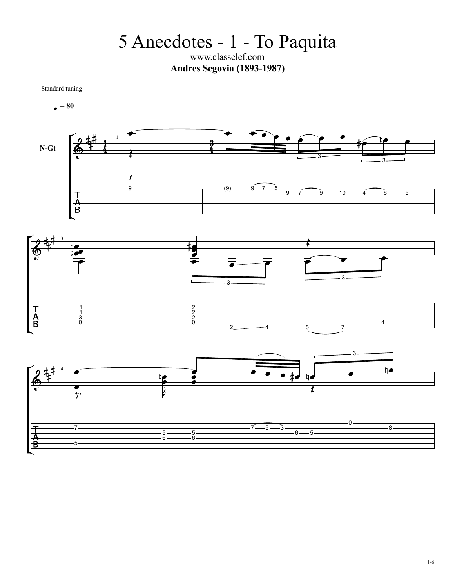Anecdotes - 1 - To Paquita

www.classclef.com **Andres Segovia (1893-1987)**

Standard tuning

 $= 80$ 

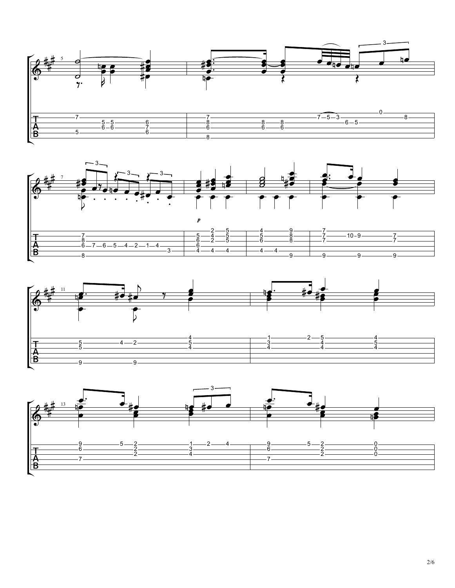





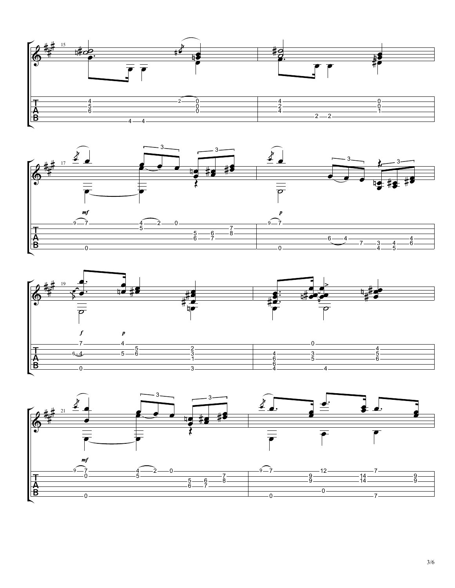





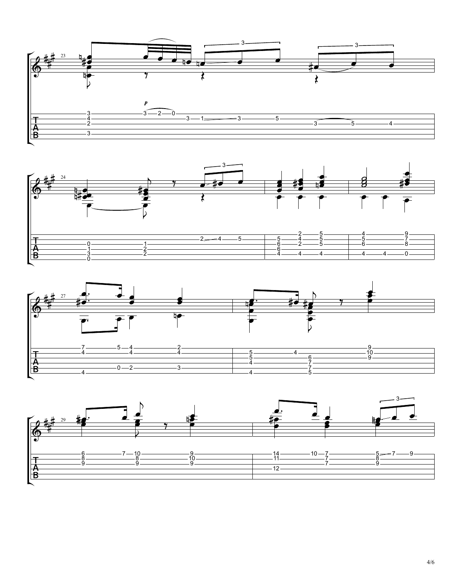





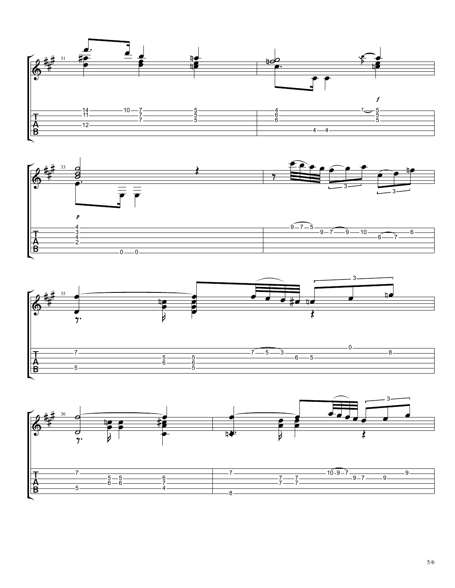